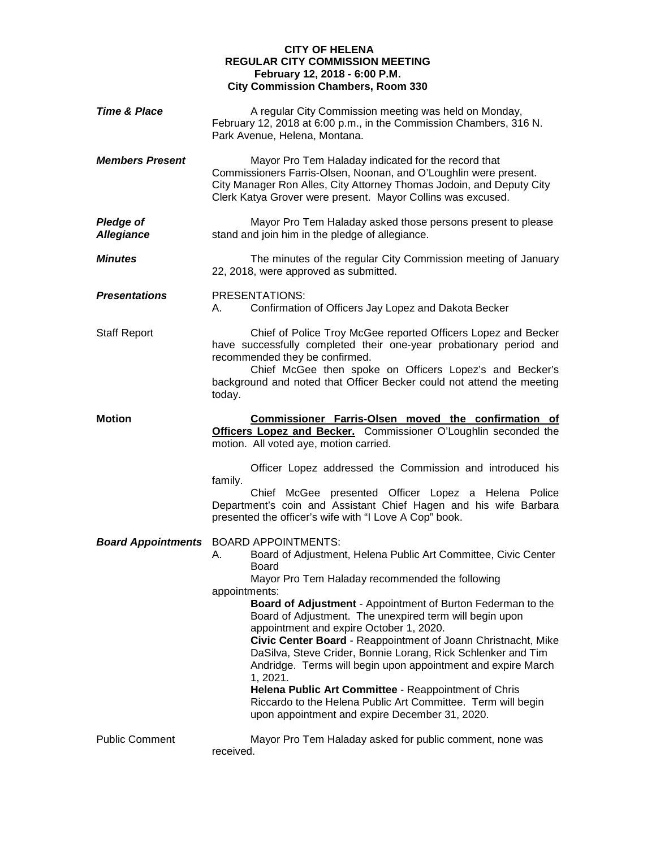## **CITY OF HELENA REGULAR CITY COMMISSION MEETING February 12, 2018 - 6:00 P.M. City Commission Chambers, Room 330**

| <b>Time &amp; Place</b>               | A regular City Commission meeting was held on Monday,<br>February 12, 2018 at 6:00 p.m., in the Commission Chambers, 316 N.<br>Park Avenue, Helena, Montana.                                                                                                                                                                                                                                                                                                                                                                                                                                                                                                                                                                                                                 |
|---------------------------------------|------------------------------------------------------------------------------------------------------------------------------------------------------------------------------------------------------------------------------------------------------------------------------------------------------------------------------------------------------------------------------------------------------------------------------------------------------------------------------------------------------------------------------------------------------------------------------------------------------------------------------------------------------------------------------------------------------------------------------------------------------------------------------|
| <b>Members Present</b>                | Mayor Pro Tem Haladay indicated for the record that<br>Commissioners Farris-Olsen, Noonan, and O'Loughlin were present.<br>City Manager Ron Alles, City Attorney Thomas Jodoin, and Deputy City<br>Clerk Katya Grover were present. Mayor Collins was excused.                                                                                                                                                                                                                                                                                                                                                                                                                                                                                                               |
| <b>Pledge of</b><br><b>Allegiance</b> | Mayor Pro Tem Haladay asked those persons present to please<br>stand and join him in the pledge of allegiance.                                                                                                                                                                                                                                                                                                                                                                                                                                                                                                                                                                                                                                                               |
| <b>Minutes</b>                        | The minutes of the regular City Commission meeting of January<br>22, 2018, were approved as submitted.                                                                                                                                                                                                                                                                                                                                                                                                                                                                                                                                                                                                                                                                       |
| <b>Presentations</b>                  | PRESENTATIONS:<br>Confirmation of Officers Jay Lopez and Dakota Becker<br>А.                                                                                                                                                                                                                                                                                                                                                                                                                                                                                                                                                                                                                                                                                                 |
| <b>Staff Report</b>                   | Chief of Police Troy McGee reported Officers Lopez and Becker<br>have successfully completed their one-year probationary period and<br>recommended they be confirmed.<br>Chief McGee then spoke on Officers Lopez's and Becker's<br>background and noted that Officer Becker could not attend the meeting<br>today.                                                                                                                                                                                                                                                                                                                                                                                                                                                          |
| <b>Motion</b>                         | Commissioner Farris-Olsen moved the confirmation of<br>Officers Lopez and Becker. Commissioner O'Loughlin seconded the<br>motion. All voted aye, motion carried.                                                                                                                                                                                                                                                                                                                                                                                                                                                                                                                                                                                                             |
|                                       | Officer Lopez addressed the Commission and introduced his<br>family.<br>Chief McGee presented Officer Lopez a Helena Police<br>Department's coin and Assistant Chief Hagen and his wife Barbara<br>presented the officer's wife with "I Love A Cop" book.                                                                                                                                                                                                                                                                                                                                                                                                                                                                                                                    |
|                                       | <b>Board Appointments</b> BOARD APPOINTMENTS:<br>Board of Adjustment, Helena Public Art Committee, Civic Center<br>А.<br><b>Board</b><br>Mayor Pro Tem Haladay recommended the following<br>appointments:<br><b>Board of Adjustment</b> - Appointment of Burton Federman to the<br>Board of Adjustment. The unexpired term will begin upon<br>appointment and expire October 1, 2020.<br>Civic Center Board - Reappointment of Joann Christnacht, Mike<br>DaSilva, Steve Crider, Bonnie Lorang, Rick Schlenker and Tim<br>Andridge. Terms will begin upon appointment and expire March<br>1, 2021.<br>Helena Public Art Committee - Reappointment of Chris<br>Riccardo to the Helena Public Art Committee. Term will begin<br>upon appointment and expire December 31, 2020. |
| <b>Public Comment</b>                 | Mayor Pro Tem Haladay asked for public comment, none was<br>received.                                                                                                                                                                                                                                                                                                                                                                                                                                                                                                                                                                                                                                                                                                        |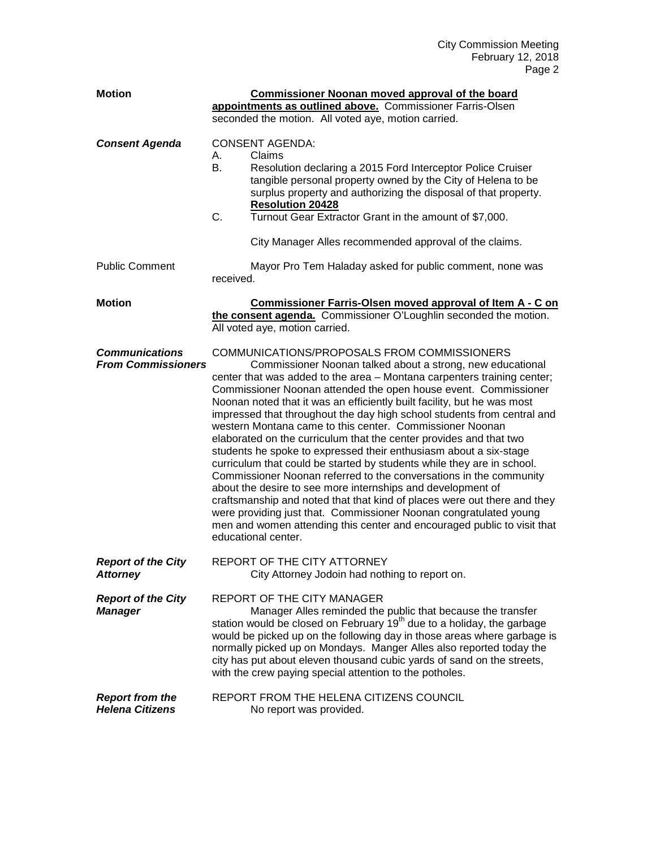| <b>Motion</b>                                      | Commissioner Noonan moved approval of the board<br>appointments as outlined above. Commissioner Farris-Olsen<br>seconded the motion. All voted aye, motion carried.                                                                                                                                                                                                                                                                                                                                                                                                                                                                                                                                                                                                                                                                                                                                                                                                                                                                                                                    |
|----------------------------------------------------|----------------------------------------------------------------------------------------------------------------------------------------------------------------------------------------------------------------------------------------------------------------------------------------------------------------------------------------------------------------------------------------------------------------------------------------------------------------------------------------------------------------------------------------------------------------------------------------------------------------------------------------------------------------------------------------------------------------------------------------------------------------------------------------------------------------------------------------------------------------------------------------------------------------------------------------------------------------------------------------------------------------------------------------------------------------------------------------|
| <b>Consent Agenda</b>                              | <b>CONSENT AGENDA:</b><br>Claims<br>А.<br>В.<br>Resolution declaring a 2015 Ford Interceptor Police Cruiser<br>tangible personal property owned by the City of Helena to be<br>surplus property and authorizing the disposal of that property.<br><b>Resolution 20428</b><br>C.<br>Turnout Gear Extractor Grant in the amount of \$7,000.<br>City Manager Alles recommended approval of the claims.                                                                                                                                                                                                                                                                                                                                                                                                                                                                                                                                                                                                                                                                                    |
| <b>Public Comment</b>                              | Mayor Pro Tem Haladay asked for public comment, none was<br>received.                                                                                                                                                                                                                                                                                                                                                                                                                                                                                                                                                                                                                                                                                                                                                                                                                                                                                                                                                                                                                  |
| <b>Motion</b>                                      | Commissioner Farris-Olsen moved approval of Item A - C on<br>the consent agenda. Commissioner O'Loughlin seconded the motion.<br>All voted aye, motion carried.                                                                                                                                                                                                                                                                                                                                                                                                                                                                                                                                                                                                                                                                                                                                                                                                                                                                                                                        |
| <b>Communications</b><br><b>From Commissioners</b> | COMMUNICATIONS/PROPOSALS FROM COMMISSIONERS<br>Commissioner Noonan talked about a strong, new educational<br>center that was added to the area - Montana carpenters training center;<br>Commissioner Noonan attended the open house event. Commissioner<br>Noonan noted that it was an efficiently built facility, but he was most<br>impressed that throughout the day high school students from central and<br>western Montana came to this center. Commissioner Noonan<br>elaborated on the curriculum that the center provides and that two<br>students he spoke to expressed their enthusiasm about a six-stage<br>curriculum that could be started by students while they are in school.<br>Commissioner Noonan referred to the conversations in the community<br>about the desire to see more internships and development of<br>craftsmanship and noted that that kind of places were out there and they<br>were providing just that. Commissioner Noonan congratulated young<br>men and women attending this center and encouraged public to visit that<br>educational center. |
| <b>Report of the City</b><br><b>Attorney</b>       | REPORT OF THE CITY ATTORNEY<br>City Attorney Jodoin had nothing to report on.                                                                                                                                                                                                                                                                                                                                                                                                                                                                                                                                                                                                                                                                                                                                                                                                                                                                                                                                                                                                          |
| <b>Report of the City</b><br><b>Manager</b>        | REPORT OF THE CITY MANAGER<br>Manager Alles reminded the public that because the transfer<br>station would be closed on February 19 <sup>th</sup> due to a holiday, the garbage<br>would be picked up on the following day in those areas where garbage is<br>normally picked up on Mondays. Manger Alles also reported today the<br>city has put about eleven thousand cubic yards of sand on the streets,<br>with the crew paying special attention to the potholes.                                                                                                                                                                                                                                                                                                                                                                                                                                                                                                                                                                                                                 |
| <b>Report from the</b><br><b>Helena Citizens</b>   | REPORT FROM THE HELENA CITIZENS COUNCIL<br>No report was provided.                                                                                                                                                                                                                                                                                                                                                                                                                                                                                                                                                                                                                                                                                                                                                                                                                                                                                                                                                                                                                     |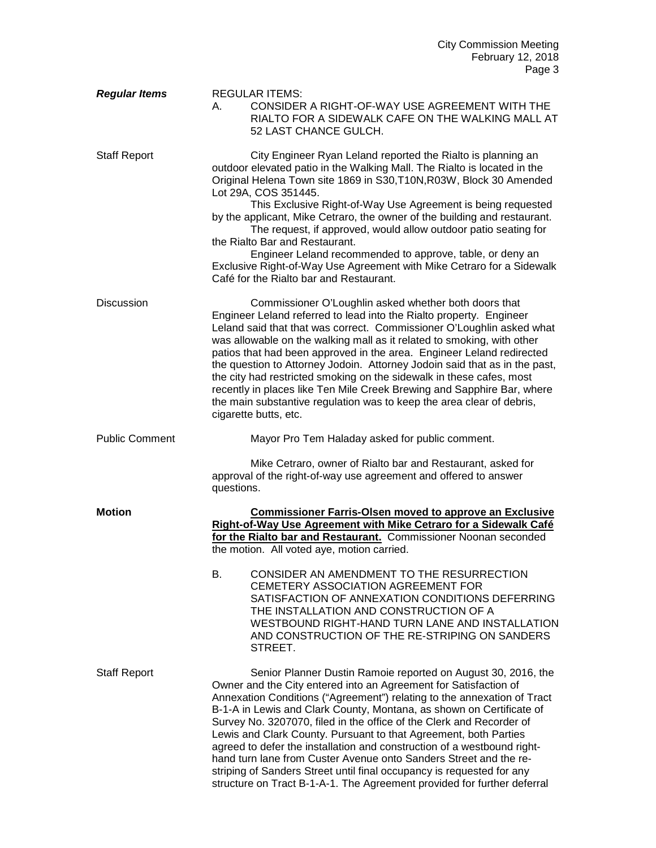| <b>Regular Items</b>  | <b>REGULAR ITEMS:</b><br>CONSIDER A RIGHT-OF-WAY USE AGREEMENT WITH THE<br>А.<br>RIALTO FOR A SIDEWALK CAFE ON THE WALKING MALL AT<br>52 LAST CHANCE GULCH.                                                                                                                                                                                                                                                                                                                                                                                                                                                                                                                                                                          |
|-----------------------|--------------------------------------------------------------------------------------------------------------------------------------------------------------------------------------------------------------------------------------------------------------------------------------------------------------------------------------------------------------------------------------------------------------------------------------------------------------------------------------------------------------------------------------------------------------------------------------------------------------------------------------------------------------------------------------------------------------------------------------|
| <b>Staff Report</b>   | City Engineer Ryan Leland reported the Rialto is planning an<br>outdoor elevated patio in the Walking Mall. The Rialto is located in the<br>Original Helena Town site 1869 in S30, T10N, R03W, Block 30 Amended<br>Lot 29A, COS 351445.<br>This Exclusive Right-of-Way Use Agreement is being requested<br>by the applicant, Mike Cetraro, the owner of the building and restaurant.<br>The request, if approved, would allow outdoor patio seating for<br>the Rialto Bar and Restaurant.<br>Engineer Leland recommended to approve, table, or deny an<br>Exclusive Right-of-Way Use Agreement with Mike Cetraro for a Sidewalk<br>Café for the Rialto bar and Restaurant.                                                           |
| <b>Discussion</b>     | Commissioner O'Loughlin asked whether both doors that<br>Engineer Leland referred to lead into the Rialto property. Engineer<br>Leland said that that was correct. Commissioner O'Loughlin asked what<br>was allowable on the walking mall as it related to smoking, with other<br>patios that had been approved in the area. Engineer Leland redirected<br>the question to Attorney Jodoin. Attorney Jodoin said that as in the past,<br>the city had restricted smoking on the sidewalk in these cafes, most<br>recently in places like Ten Mile Creek Brewing and Sapphire Bar, where<br>the main substantive regulation was to keep the area clear of debris,<br>cigarette butts, etc.                                           |
| <b>Public Comment</b> | Mayor Pro Tem Haladay asked for public comment.                                                                                                                                                                                                                                                                                                                                                                                                                                                                                                                                                                                                                                                                                      |
|                       | Mike Cetraro, owner of Rialto bar and Restaurant, asked for<br>approval of the right-of-way use agreement and offered to answer<br>questions.                                                                                                                                                                                                                                                                                                                                                                                                                                                                                                                                                                                        |
| <b>Motion</b>         | <b>Commissioner Farris-Olsen moved to approve an Exclusive</b><br>Right-of-Way Use Agreement with Mike Cetraro for a Sidewalk Café<br>for the Rialto bar and Restaurant. Commissioner Noonan seconded<br>the motion. All voted aye, motion carried.                                                                                                                                                                                                                                                                                                                                                                                                                                                                                  |
|                       | CONSIDER AN AMENDMENT TO THE RESURRECTION<br>В.<br>CEMETERY ASSOCIATION AGREEMENT FOR<br>SATISFACTION OF ANNEXATION CONDITIONS DEFERRING<br>THE INSTALLATION AND CONSTRUCTION OF A<br>WESTBOUND RIGHT-HAND TURN LANE AND INSTALLATION<br>AND CONSTRUCTION OF THE RE-STRIPING ON SANDERS<br>STREET.                                                                                                                                                                                                                                                                                                                                                                                                                                   |
| <b>Staff Report</b>   | Senior Planner Dustin Ramoie reported on August 30, 2016, the<br>Owner and the City entered into an Agreement for Satisfaction of<br>Annexation Conditions ("Agreement") relating to the annexation of Tract<br>B-1-A in Lewis and Clark County, Montana, as shown on Certificate of<br>Survey No. 3207070, filed in the office of the Clerk and Recorder of<br>Lewis and Clark County. Pursuant to that Agreement, both Parties<br>agreed to defer the installation and construction of a westbound right-<br>hand turn lane from Custer Avenue onto Sanders Street and the re-<br>striping of Sanders Street until final occupancy is requested for any<br>structure on Tract B-1-A-1. The Agreement provided for further deferral |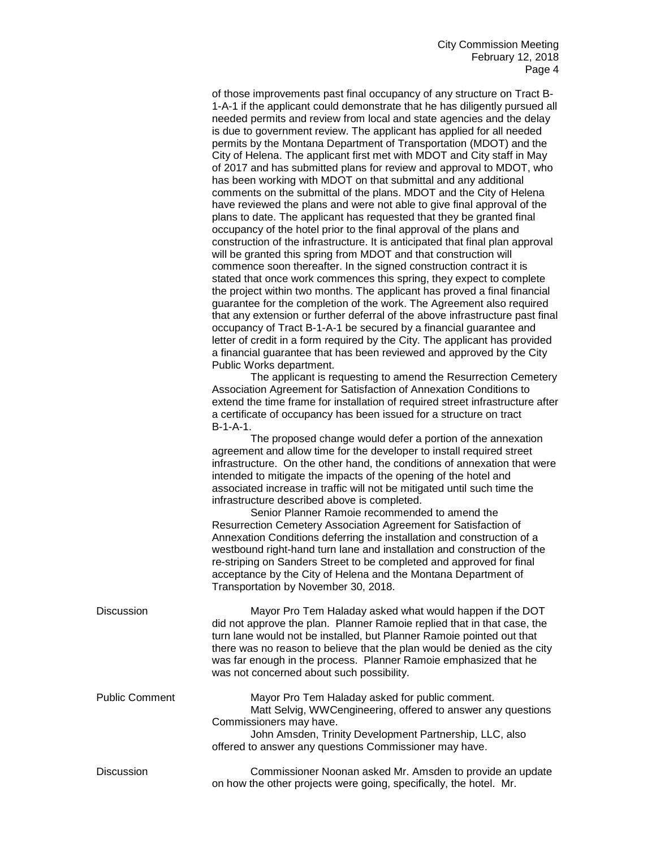of those improvements past final occupancy of any structure on Tract B-1-A-1 if the applicant could demonstrate that he has diligently pursued all needed permits and review from local and state agencies and the delay is due to government review. The applicant has applied for all needed permits by the Montana Department of Transportation (MDOT) and the City of Helena. The applicant first met with MDOT and City staff in May of 2017 and has submitted plans for review and approval to MDOT, who has been working with MDOT on that submittal and any additional comments on the submittal of the plans. MDOT and the City of Helena have reviewed the plans and were not able to give final approval of the plans to date. The applicant has requested that they be granted final occupancy of the hotel prior to the final approval of the plans and construction of the infrastructure. It is anticipated that final plan approval will be granted this spring from MDOT and that construction will commence soon thereafter. In the signed construction contract it is stated that once work commences this spring, they expect to complete the project within two months. The applicant has proved a final financial guarantee for the completion of the work. The Agreement also required that any extension or further deferral of the above infrastructure past final occupancy of Tract B-1-A-1 be secured by a financial guarantee and letter of credit in a form required by the City. The applicant has provided a financial guarantee that has been reviewed and approved by the City Public Works department.

The applicant is requesting to amend the Resurrection Cemetery Association Agreement for Satisfaction of Annexation Conditions to extend the time frame for installation of required street infrastructure after a certificate of occupancy has been issued for a structure on tract B-1-A-1.

The proposed change would defer a portion of the annexation agreement and allow time for the developer to install required street infrastructure. On the other hand, the conditions of annexation that were intended to mitigate the impacts of the opening of the hotel and associated increase in traffic will not be mitigated until such time the infrastructure described above is completed.

Senior Planner Ramoie recommended to amend the Resurrection Cemetery Association Agreement for Satisfaction of Annexation Conditions deferring the installation and construction of a westbound right-hand turn lane and installation and construction of the re-striping on Sanders Street to be completed and approved for final acceptance by the City of Helena and the Montana Department of Transportation by November 30, 2018.

| <b>Discussion</b>     | Mayor Pro Tem Haladay asked what would happen if the DOT<br>did not approve the plan. Planner Ramoie replied that in that case, the<br>turn lane would not be installed, but Planner Ramoie pointed out that<br>there was no reason to believe that the plan would be denied as the city<br>was far enough in the process. Planner Ramoie emphasized that he<br>was not concerned about such possibility. |
|-----------------------|-----------------------------------------------------------------------------------------------------------------------------------------------------------------------------------------------------------------------------------------------------------------------------------------------------------------------------------------------------------------------------------------------------------|
| <b>Public Comment</b> | Mayor Pro Tem Haladay asked for public comment.<br>Matt Selvig, WWCengineering, offered to answer any questions<br>Commissioners may have.<br>John Amsden, Trinity Development Partnership, LLC, also<br>offered to answer any questions Commissioner may have.                                                                                                                                           |
| <b>Discussion</b>     | Commissioner Noonan asked Mr. Amsden to provide an update<br>on how the other projects were going, specifically, the hotel. Mr.                                                                                                                                                                                                                                                                           |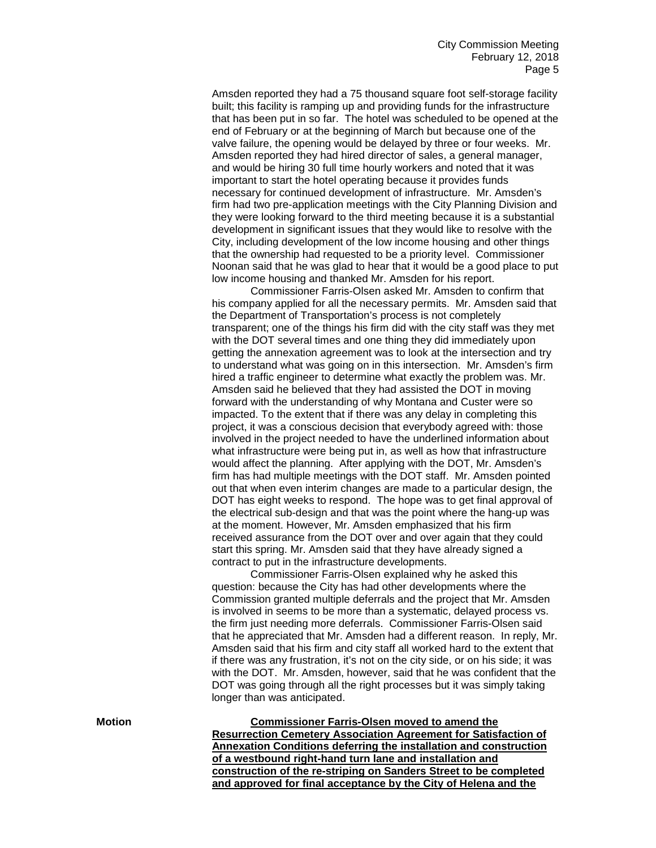Amsden reported they had a 75 thousand square foot self-storage facility built; this facility is ramping up and providing funds for the infrastructure that has been put in so far. The hotel was scheduled to be opened at the end of February or at the beginning of March but because one of the valve failure, the opening would be delayed by three or four weeks. Mr. Amsden reported they had hired director of sales, a general manager, and would be hiring 30 full time hourly workers and noted that it was important to start the hotel operating because it provides funds necessary for continued development of infrastructure. Mr. Amsden's firm had two pre-application meetings with the City Planning Division and they were looking forward to the third meeting because it is a substantial development in significant issues that they would like to resolve with the City, including development of the low income housing and other things that the ownership had requested to be a priority level. Commissioner Noonan said that he was glad to hear that it would be a good place to put low income housing and thanked Mr. Amsden for his report.

Commissioner Farris-Olsen asked Mr. Amsden to confirm that his company applied for all the necessary permits. Mr. Amsden said that the Department of Transportation's process is not completely transparent; one of the things his firm did with the city staff was they met with the DOT several times and one thing they did immediately upon getting the annexation agreement was to look at the intersection and try to understand what was going on in this intersection. Mr. Amsden's firm hired a traffic engineer to determine what exactly the problem was. Mr. Amsden said he believed that they had assisted the DOT in moving forward with the understanding of why Montana and Custer were so impacted. To the extent that if there was any delay in completing this project, it was a conscious decision that everybody agreed with: those involved in the project needed to have the underlined information about what infrastructure were being put in, as well as how that infrastructure would affect the planning. After applying with the DOT, Mr. Amsden's firm has had multiple meetings with the DOT staff. Mr. Amsden pointed out that when even interim changes are made to a particular design, the DOT has eight weeks to respond. The hope was to get final approval of the electrical sub-design and that was the point where the hang-up was at the moment. However, Mr. Amsden emphasized that his firm received assurance from the DOT over and over again that they could start this spring. Mr. Amsden said that they have already signed a contract to put in the infrastructure developments.

Commissioner Farris-Olsen explained why he asked this question: because the City has had other developments where the Commission granted multiple deferrals and the project that Mr. Amsden is involved in seems to be more than a systematic, delayed process vs. the firm just needing more deferrals. Commissioner Farris-Olsen said that he appreciated that Mr. Amsden had a different reason. In reply, Mr. Amsden said that his firm and city staff all worked hard to the extent that if there was any frustration, it's not on the city side, or on his side; it was with the DOT. Mr. Amsden, however, said that he was confident that the DOT was going through all the right processes but it was simply taking longer than was anticipated.

**Motion Commissioner Farris-Olsen moved to amend the Resurrection Cemetery Association Agreement for Satisfaction of Annexation Conditions deferring the installation and construction of a westbound right-hand turn lane and installation and construction of the re-striping on Sanders Street to be completed and approved for final acceptance by the City of Helena and the**